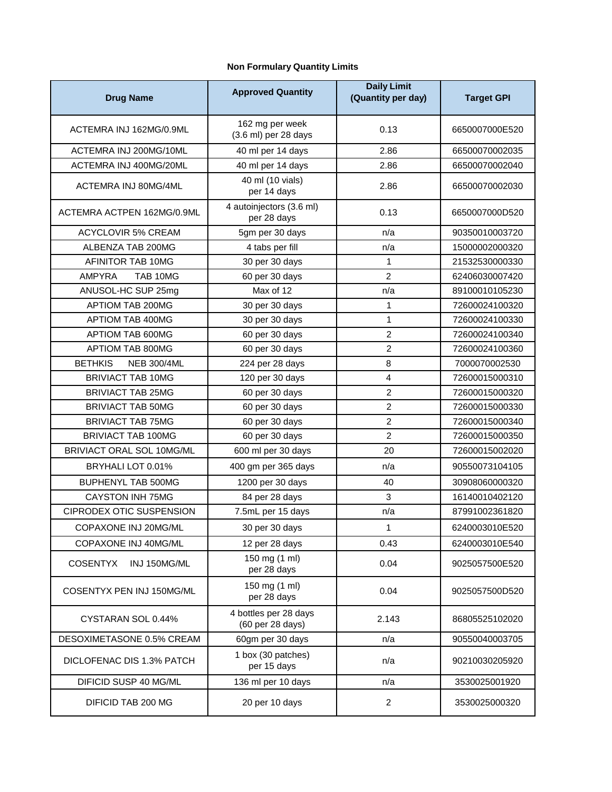## **Non Formulary Quantity Limits**

| <b>Drug Name</b>                     | <b>Approved Quantity</b>                  | <b>Daily Limit</b><br>(Quantity per day) | <b>Target GPI</b> |
|--------------------------------------|-------------------------------------------|------------------------------------------|-------------------|
| ACTEMRA INJ 162MG/0.9ML              | 162 mg per week<br>(3.6 ml) per 28 days   | 0.13                                     | 6650007000E520    |
| ACTEMRA INJ 200MG/10ML               | 40 ml per 14 days                         | 2.86                                     | 66500070002035    |
| ACTEMRA INJ 400MG/20ML               | 40 ml per 14 days                         | 2.86                                     | 66500070002040    |
| ACTEMRA INJ 80MG/4ML                 | 40 ml (10 vials)<br>per 14 days           | 2.86                                     | 66500070002030    |
| ACTEMRA ACTPEN 162MG/0.9ML           | 4 autoinjectors (3.6 ml)<br>per 28 days   | 0.13                                     | 6650007000D520    |
| <b>ACYCLOVIR 5% CREAM</b>            | 5gm per 30 days                           | n/a                                      | 90350010003720    |
| ALBENZA TAB 200MG                    | 4 tabs per fill                           | n/a                                      | 15000002000320    |
| AFINITOR TAB 10MG                    | 30 per 30 days                            | 1                                        | 21532530000330    |
| <b>AMPYRA</b><br>TAB 10MG            | 60 per 30 days                            | $\overline{2}$                           | 62406030007420    |
| ANUSOL-HC SUP 25mg                   | Max of 12                                 | n/a                                      | 89100010105230    |
| APTIOM TAB 200MG                     | 30 per 30 days                            | 1                                        | 72600024100320    |
| APTIOM TAB 400MG                     | 30 per 30 days                            | $\mathbf{1}$                             | 72600024100330    |
| APTIOM TAB 600MG                     | 60 per 30 days                            | $\overline{c}$                           | 72600024100340    |
| APTIOM TAB 800MG                     | 60 per 30 days                            | $\overline{c}$                           | 72600024100360    |
| <b>NEB 300/4ML</b><br><b>BETHKIS</b> | 224 per 28 days                           | 8                                        | 7000070002530     |
| <b>BRIVIACT TAB 10MG</b>             | 120 per 30 days                           | $\overline{\mathbf{4}}$                  | 72600015000310    |
| <b>BRIVIACT TAB 25MG</b>             | 60 per 30 days                            | $\overline{c}$                           | 72600015000320    |
| <b>BRIVIACT TAB 50MG</b>             | 60 per 30 days                            | $\overline{c}$                           | 72600015000330    |
| <b>BRIVIACT TAB 75MG</b>             | 60 per 30 days                            | $\overline{c}$                           | 72600015000340    |
| BRIVIACT TAB 100MG                   | 60 per 30 days                            | $\overline{2}$                           | 72600015000350    |
| BRIVIACT ORAL SOL 10MG/ML            | 600 ml per 30 days                        | 20                                       | 72600015002020    |
| BRYHALI LOT 0.01%                    | 400 gm per 365 days                       | n/a                                      | 90550073104105    |
| BUPHENYL TAB 500MG                   | 1200 per 30 days                          | 40                                       | 30908060000320    |
| <b>CAYSTON INH 75MG</b>              | 84 per 28 days                            | 3                                        | 16140010402120    |
| CIPRODEX OTIC SUSPENSION             | 7.5mL per 15 days                         | n/a                                      | 87991002361820    |
| COPAXONE INJ 20MG/ML                 | 30 per 30 days                            |                                          | 6240003010E520    |
| COPAXONE INJ 40MG/ML                 | 12 per 28 days                            | 0.43                                     | 6240003010E540    |
| <b>COSENTYX</b><br>INJ 150MG/ML      | 150 mg (1 ml)<br>per 28 days              | 0.04                                     | 9025057500E520    |
| COSENTYX PEN INJ 150MG/ML            | 150 mg (1 ml)<br>per 28 days              | 0.04                                     | 9025057500D520    |
| CYSTARAN SOL 0.44%                   | 4 bottles per 28 days<br>(60 per 28 days) | 2.143                                    | 86805525102020    |
| DESOXIMETASONE 0.5% CREAM            | 60gm per 30 days                          | n/a                                      | 90550040003705    |
| DICLOFENAC DIS 1.3% PATCH            | 1 box (30 patches)<br>per 15 days         | n/a                                      | 90210030205920    |
| DIFICID SUSP 40 MG/ML                | 136 ml per 10 days                        | n/a                                      | 3530025001920     |
| DIFICID TAB 200 MG                   | 20 per 10 days                            | $\overline{c}$                           | 3530025000320     |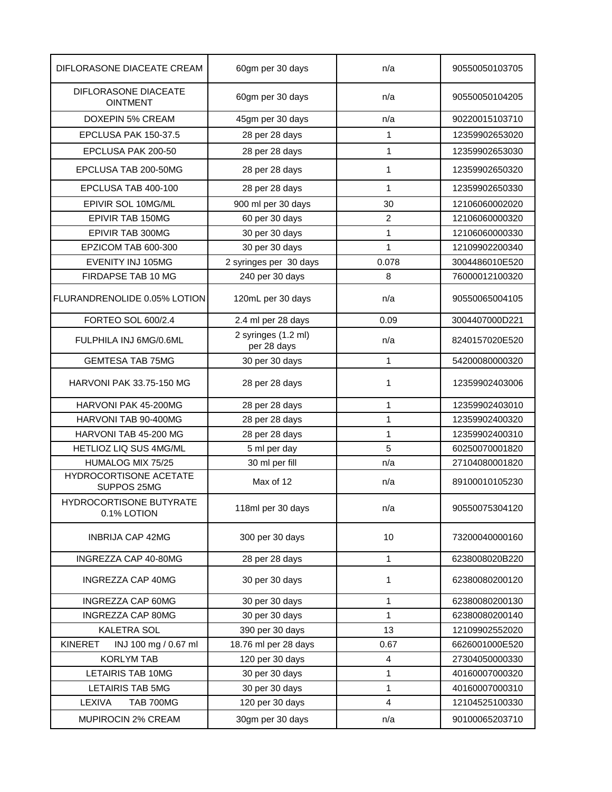| DIFLORASONE DIACEATE CREAM              | 60gm per 30 days                   | n/a            | 90550050103705 |
|-----------------------------------------|------------------------------------|----------------|----------------|
| DIFLORASONE DIACEATE<br><b>OINTMENT</b> | 60gm per 30 days                   | n/a            | 90550050104205 |
| <b>DOXEPIN 5% CREAM</b>                 | 45gm per 30 days                   | n/a            | 90220015103710 |
| EPCLUSA PAK 150-37.5                    | 28 per 28 days                     | $\mathbf{1}$   | 12359902653020 |
| EPCLUSA PAK 200-50                      | 28 per 28 days                     | 1              | 12359902653030 |
| EPCLUSA TAB 200-50MG                    | 28 per 28 days                     | 1              | 12359902650320 |
| EPCLUSA TAB 400-100                     | 28 per 28 days                     | 1              | 12359902650330 |
| EPIVIR SOL 10MG/ML                      | 900 ml per 30 days                 | 30             | 12106060002020 |
| EPIVIR TAB 150MG                        | 60 per 30 days                     | $\overline{c}$ | 12106060000320 |
| EPIVIR TAB 300MG                        | 30 per 30 days                     | 1              | 12106060000330 |
| EPZICOM TAB 600-300                     | 30 per 30 days                     | 1              | 12109902200340 |
| EVENITY INJ 105MG                       | 2 syringes per 30 days             | 0.078          | 3004486010E520 |
| FIRDAPSE TAB 10 MG                      | 240 per 30 days                    | 8              | 76000012100320 |
| FLURANDRENOLIDE 0.05% LOTION            | 120mL per 30 days                  | n/a            | 90550065004105 |
| FORTEO SOL 600/2.4                      | 2.4 ml per 28 days                 | 0.09           | 3004407000D221 |
| FULPHILA INJ 6MG/0.6ML                  | 2 syringes (1.2 ml)<br>per 28 days | n/a            | 8240157020E520 |
| <b>GEMTESA TAB 75MG</b>                 | 30 per 30 days                     | 1              | 54200080000320 |
| <b>HARVONI PAK 33.75-150 MG</b>         | 28 per 28 days                     | 1              | 12359902403006 |
| HARVONI PAK 45-200MG                    | 28 per 28 days                     | 1              | 12359902403010 |
| HARVONI TAB 90-400MG                    | 28 per 28 days                     | $\mathbf{1}$   | 12359902400320 |
| HARVONI TAB 45-200 MG                   | 28 per 28 days                     | 1              | 12359902400310 |
| HETLIOZ LIQ SUS 4MG/ML                  | 5 ml per day                       | 5              | 60250070001820 |
| HUMALOG MIX 75/25                       | 30 ml per fill                     | n/a            | 27104080001820 |
| HYDROCORTISONE ACETATE<br>SUPPOS 25MG   | Max of 12                          | n/a            | 89100010105230 |
| HYDROCORTISONE BUTYRATE<br>0.1% LOTION  | 118ml per 30 days                  | n/a            | 90550075304120 |
| <b>INBRIJA CAP 42MG</b>                 | 300 per 30 days                    | 10             | 73200040000160 |
| INGREZZA CAP 40-80MG                    | 28 per 28 days                     | 1              | 6238008020B220 |
| INGREZZA CAP 40MG                       | 30 per 30 days                     | 1              | 62380080200120 |
| INGREZZA CAP 60MG                       | 30 per 30 days                     | 1              | 62380080200130 |
| INGREZZA CAP 80MG                       | 30 per 30 days                     | 1              | 62380080200140 |
| <b>KALETRA SOL</b>                      | 390 per 30 days                    | 13             | 12109902552020 |
| <b>KINERET</b><br>INJ 100 mg / 0.67 ml  | 18.76 ml per 28 days               | 0.67           | 6626001000E520 |
| <b>KORLYM TAB</b>                       | 120 per 30 days                    | 4              | 27304050000330 |
| <b>LETAIRIS TAB 10MG</b>                | 30 per 30 days                     | 1              | 40160007000320 |
| LETAIRIS TAB 5MG                        | 30 per 30 days                     | 1              | 40160007000310 |
| LEXIVA<br>TAB 700MG                     | 120 per 30 days                    | 4              | 12104525100330 |
| MUPIROCIN 2% CREAM                      | 30gm per 30 days                   | n/a            | 90100065203710 |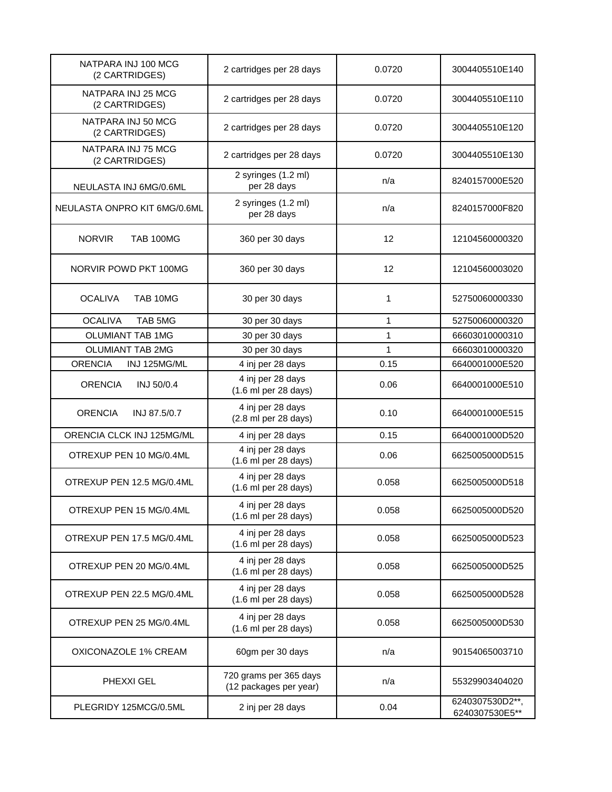| NATPARA INJ 100 MCG<br>(2 CARTRIDGES) | 2 cartridges per 28 days                                     | 0.0720       | 3004405510E140                   |
|---------------------------------------|--------------------------------------------------------------|--------------|----------------------------------|
| NATPARA INJ 25 MCG<br>(2 CARTRIDGES)  | 2 cartridges per 28 days                                     | 0.0720       | 3004405510E110                   |
| NATPARA INJ 50 MCG<br>(2 CARTRIDGES)  | 2 cartridges per 28 days                                     | 0.0720       | 3004405510E120                   |
| NATPARA INJ 75 MCG<br>(2 CARTRIDGES)  | 2 cartridges per 28 days                                     | 0.0720       | 3004405510E130                   |
| NEULASTA INJ 6MG/0.6ML                | 2 syringes (1.2 ml)<br>per 28 days                           | n/a          | 8240157000E520                   |
| NEULASTA ONPRO KIT 6MG/0.6ML          | 2 syringes (1.2 ml)<br>per 28 days                           | n/a          | 8240157000F820                   |
| <b>NORVIR</b><br><b>TAB 100MG</b>     | 360 per 30 days                                              | 12           | 12104560000320                   |
| NORVIR POWD PKT 100MG                 | 360 per 30 days                                              | 12           | 12104560003020                   |
| <b>OCALIVA</b><br>TAB 10MG            | 30 per 30 days                                               | 1            | 52750060000330                   |
| <b>OCALIVA</b><br>TAB 5MG             | 30 per 30 days                                               | $\mathbf{1}$ | 52750060000320                   |
| <b>OLUMIANT TAB 1MG</b>               | 30 per 30 days                                               | 1            | 66603010000310                   |
| <b>OLUMIANT TAB 2MG</b>               | 30 per 30 days                                               | 1            | 66603010000320                   |
| <b>ORENCIA</b><br>INJ 125MG/ML        | 4 inj per 28 days                                            | 0.15         | 6640001000E520                   |
| <b>ORENCIA</b><br>INJ 50/0.4          | 4 inj per 28 days<br>(1.6 ml per 28 days)                    | 0.06         | 6640001000E510                   |
| <b>ORENCIA</b><br>INJ 87.5/0.7        | 4 inj per 28 days<br>(2.8 ml per 28 days)                    | 0.10         | 6640001000E515                   |
| ORENCIA CLCK INJ 125MG/ML             | 4 inj per 28 days                                            | 0.15         | 6640001000D520                   |
| OTREXUP PEN 10 MG/0.4ML               | 4 inj per 28 days<br>(1.6 ml per 28 days)                    | 0.06         | 6625005000D515                   |
| OTREXUP PEN 12.5 MG/0.4ML             | 4 inj per 28 days<br>(1.6 ml per 28 days)                    | 0.058        | 6625005000D518                   |
| OTREXUP PEN 15 MG/0.4ML               | 4 inj per 28 days<br>(1.6 ml per 28 days)                    | 0.058        | 6625005000D520                   |
| OTREXUP PEN 17.5 MG/0.4ML             | 4 inj per 28 days<br>(1.6 ml per 28 days)                    | 0.058        | 6625005000D523                   |
| OTREXUP PEN 20 MG/0.4ML               | 4 inj per 28 days<br>$(1.6 \text{ ml per } 28 \text{ days})$ | 0.058        | 6625005000D525                   |
| OTREXUP PEN 22.5 MG/0.4ML             | 4 inj per 28 days<br>(1.6 ml per 28 days)                    | 0.058        | 6625005000D528                   |
| OTREXUP PEN 25 MG/0.4ML               | 4 inj per 28 days<br>(1.6 ml per 28 days)                    | 0.058        | 6625005000D530                   |
| OXICONAZOLE 1% CREAM                  | 60gm per 30 days                                             | n/a          | 90154065003710                   |
| PHEXXI GEL                            | 720 grams per 365 days<br>(12 packages per year)             | n/a          | 55329903404020                   |
| PLEGRIDY 125MCG/0.5ML                 | 2 inj per 28 days                                            | 0.04         | 6240307530D2**<br>6240307530E5** |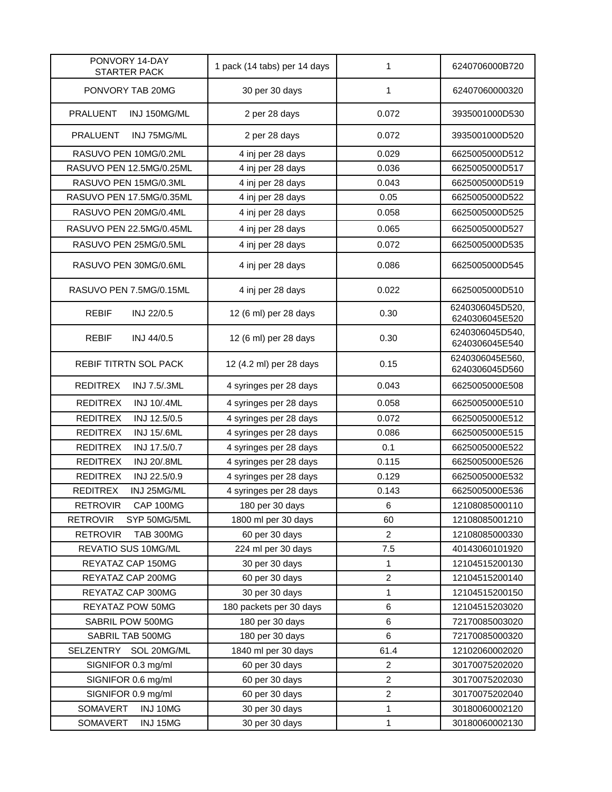| PONVORY 14-DAY<br><b>STARTER PACK</b> | 1 pack (14 tabs) per 14 days | 1              | 6240706000B720                    |
|---------------------------------------|------------------------------|----------------|-----------------------------------|
| PONVORY TAB 20MG                      | 30 per 30 days               | 1              | 62407060000320                    |
| <b>PRALUENT</b><br>INJ 150MG/ML       | 2 per 28 days                | 0.072          | 3935001000D530                    |
| <b>PRALUENT</b><br>INJ 75MG/ML        | 2 per 28 days                | 0.072          | 3935001000D520                    |
| RASUVO PEN 10MG/0.2ML                 | 4 inj per 28 days            | 0.029          | 6625005000D512                    |
| RASUVO PEN 12.5MG/0.25ML              | 4 inj per 28 days            | 0.036          | 6625005000D517                    |
| RASUVO PEN 15MG/0.3ML                 | 4 inj per 28 days            | 0.043          | 6625005000D519                    |
| RASUVO PEN 17.5MG/0.35ML              | 4 inj per 28 days            | 0.05           | 6625005000D522                    |
| RASUVO PEN 20MG/0.4ML                 | 4 inj per 28 days            | 0.058          | 6625005000D525                    |
| RASUVO PEN 22.5MG/0.45ML              | 4 inj per 28 days            | 0.065          | 6625005000D527                    |
| RASUVO PEN 25MG/0.5ML                 | 4 inj per 28 days            | 0.072          | 6625005000D535                    |
| RASUVO PEN 30MG/0.6ML                 | 4 inj per 28 days            | 0.086          | 6625005000D545                    |
| RASUVO PEN 7.5MG/0.15ML               | 4 inj per 28 days            | 0.022          | 6625005000D510                    |
| <b>REBIF</b><br>INJ 22/0.5            | 12 (6 ml) per 28 days        | 0.30           | 6240306045D520,<br>6240306045E520 |
| <b>REBIF</b><br>INJ 44/0.5            | 12 (6 ml) per 28 days        | 0.30           | 6240306045D540,<br>6240306045E540 |
| <b>REBIF TITRTN SOL PACK</b>          | 12 (4.2 ml) per 28 days      | 0.15           | 6240306045E560,<br>6240306045D560 |
| <b>REDITREX</b><br>INJ 7.5/.3ML       | 4 syringes per 28 days       | 0.043          | 6625005000E508                    |
| <b>REDITREX</b><br><b>INJ 10/.4ML</b> | 4 syringes per 28 days       | 0.058          | 6625005000E510                    |
| <b>REDITREX</b><br>INJ 12.5/0.5       | 4 syringes per 28 days       | 0.072          | 6625005000E512                    |
| <b>REDITREX</b><br>INJ 15/.6ML        | 4 syringes per 28 days       | 0.086          | 6625005000E515                    |
| <b>REDITREX</b><br>INJ 17.5/0.7       | 4 syringes per 28 days       | 0.1            | 6625005000E522                    |
| <b>REDITREX</b><br><b>INJ 20/.8ML</b> | 4 syringes per 28 days       | 0.115          | 6625005000E526                    |
| <b>REDITREX</b><br>INJ 22.5/0.9       | 4 syringes per 28 days       | 0.129          | 6625005000E532                    |
| <b>REDITREX</b><br>INJ 25MG/ML        | 4 syringes per 28 days       | 0.143          | 6625005000E536                    |
| <b>RETROVIR</b><br>CAP 100MG          | 180 per 30 days              | 6              | 12108085000110                    |
| <b>RETROVIR</b><br>SYP 50MG/5ML       | 1800 ml per 30 days          | 60             | 12108085001210                    |
| <b>RETROVIR</b><br><b>TAB 300MG</b>   | 60 per 30 days               | $\overline{c}$ | 12108085000330                    |
| REVATIO SUS 10MG/ML                   | 224 ml per 30 days           | 7.5            | 40143060101920                    |
| REYATAZ CAP 150MG                     | 30 per 30 days               | $\mathbf{1}$   | 12104515200130                    |
| REYATAZ CAP 200MG                     | 60 per 30 days               | $\overline{c}$ | 12104515200140                    |
| REYATAZ CAP 300MG                     | 30 per 30 days               | 1              | 12104515200150                    |
| REYATAZ POW 50MG                      | 180 packets per 30 days      | 6              | 12104515203020                    |
| SABRIL POW 500MG                      | 180 per 30 days              | 6              | 72170085003020                    |
| SABRIL TAB 500MG                      | 180 per 30 days              | 6              | 72170085000320                    |
| SELZENTRY<br>SOL 20MG/ML              | 1840 ml per 30 days          | 61.4           | 12102060002020                    |
| SIGNIFOR 0.3 mg/ml                    | 60 per 30 days               | $\overline{c}$ | 30170075202020                    |
| SIGNIFOR 0.6 mg/ml                    | 60 per 30 days               | $\overline{c}$ | 30170075202030                    |
| SIGNIFOR 0.9 mg/ml                    | 60 per 30 days               | $\overline{c}$ | 30170075202040                    |
| SOMAVERT<br>INJ 10MG                  | 30 per 30 days               | $\mathbf{1}$   | 30180060002120                    |
| SOMAVERT<br>INJ 15MG                  | 30 per 30 days               | $\mathbf{1}$   | 30180060002130                    |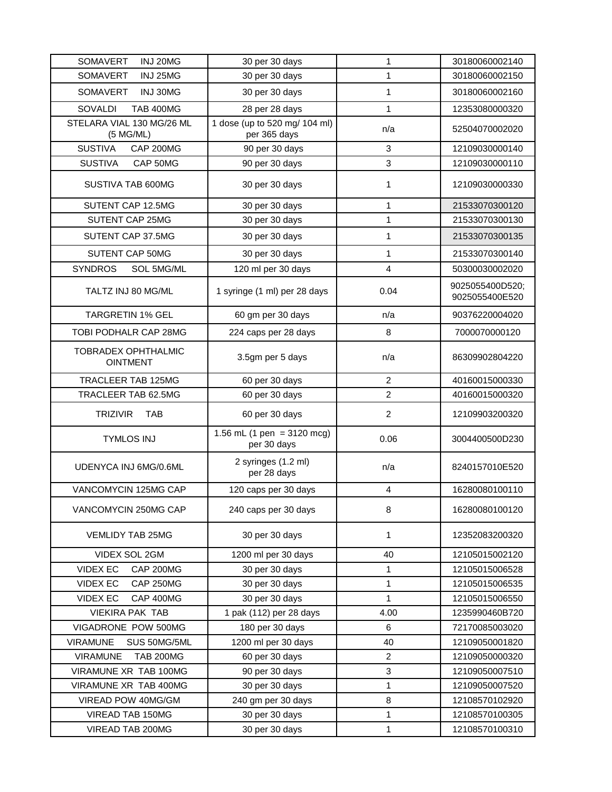| <b>SOMAVERT</b><br>INJ 20MG                   | 30 per 30 days                                | 1              | 30180060002140                    |
|-----------------------------------------------|-----------------------------------------------|----------------|-----------------------------------|
| SOMAVERT<br>INJ 25MG                          | 30 per 30 days                                | 1              | 30180060002150                    |
| <b>SOMAVERT</b><br>INJ 30MG                   | 30 per 30 days                                | 1              | 30180060002160                    |
| SOVALDI<br><b>TAB 400MG</b>                   | 28 per 28 days                                | 1              | 12353080000320                    |
| STELARA VIAL 130 MG/26 ML<br>(5 M G/ML)       | 1 dose (up to 520 mg/ 104 ml)<br>per 365 days | n/a            | 52504070002020                    |
| <b>SUSTIVA</b><br>CAP 200MG                   | 90 per 30 days                                | 3              | 12109030000140                    |
| <b>SUSTIVA</b><br>CAP 50MG                    | 90 per 30 days                                | 3              | 12109030000110                    |
| SUSTIVA TAB 600MG                             | 30 per 30 days                                | 1              | 12109030000330                    |
| SUTENT CAP 12.5MG                             | 30 per 30 days                                | 1              | 21533070300120                    |
| SUTENT CAP 25MG                               | 30 per 30 days                                | 1              | 21533070300130                    |
| SUTENT CAP 37.5MG                             | 30 per 30 days                                | 1              | 21533070300135                    |
| SUTENT CAP 50MG                               | 30 per 30 days                                | 1              | 21533070300140                    |
| <b>SYNDROS</b><br>SOL 5MG/ML                  | 120 ml per 30 days                            | 4              | 50300030002020                    |
| TALTZ INJ 80 MG/ML                            | 1 syringe (1 ml) per 28 days                  | 0.04           | 9025055400D520;<br>9025055400E520 |
| <b>TARGRETIN 1% GEL</b>                       | 60 gm per 30 days                             | n/a            | 90376220004020                    |
| <b>TOBI PODHALR CAP 28MG</b>                  | 224 caps per 28 days                          | 8              | 7000070000120                     |
| <b>TOBRADEX OPHTHALMIC</b><br><b>OINTMENT</b> | 3.5gm per 5 days                              | n/a            | 86309902804220                    |
| TRACLEER TAB 125MG                            | 60 per 30 days                                | $\overline{2}$ | 40160015000330                    |
| TRACLEER TAB 62.5MG                           | 60 per 30 days                                | $\overline{2}$ | 40160015000320                    |
| <b>TRIZIVIR</b><br><b>TAB</b>                 | 60 per 30 days                                | $\overline{2}$ | 12109903200320                    |
| <b>TYMLOS INJ</b>                             | 1.56 mL (1 pen = $3120$ mcg)<br>per 30 days   | 0.06           | 3004400500D230                    |
| UDENYCA INJ 6MG/0.6ML                         | 2 syringes (1.2 ml)<br>per 28 days            | n/a            | 8240157010E520                    |
| VANCOMYCIN 125MG CAP                          | 120 caps per 30 days                          | 4              | 16280080100110                    |
| VANCOMYCIN 250MG CAP                          | 240 caps per 30 days                          | 8              | 16280080100120                    |
| <b>VEMLIDY TAB 25MG</b>                       | 30 per 30 days                                | 1              | 12352083200320                    |
| VIDEX SOL 2GM                                 | 1200 ml per 30 days                           | 40             | 12105015002120                    |
| <b>VIDEX EC</b><br>CAP 200MG                  | 30 per 30 days                                | 1              | 12105015006528                    |
| <b>VIDEX EC</b><br>CAP 250MG                  | 30 per 30 days                                | 1              | 12105015006535                    |
| <b>VIDEX EC</b><br>CAP 400MG                  | 30 per 30 days                                | 1              | 12105015006550                    |
| <b>VIEKIRA PAK TAB</b>                        | 1 pak (112) per 28 days                       | 4.00           | 1235990460B720                    |
| VIGADRONE POW 500MG                           | 180 per 30 days                               | 6              | 72170085003020                    |
| <b>VIRAMUNE</b><br>SUS 50MG/5ML               | 1200 ml per 30 days                           | 40             | 12109050001820                    |
| <b>VIRAMUNE</b><br><b>TAB 200MG</b>           | 60 per 30 days                                | $\overline{2}$ | 12109050000320                    |
| VIRAMUNE XR TAB 100MG                         | 90 per 30 days                                | 3              | 12109050007510                    |
| VIRAMUNE XR TAB 400MG                         | 30 per 30 days                                | 1              | 12109050007520                    |
| VIREAD POW 40MG/GM                            | 240 gm per 30 days                            | 8              | 12108570102920                    |
| VIREAD TAB 150MG                              | 30 per 30 days                                | $\mathbf 1$    | 12108570100305                    |
| VIREAD TAB 200MG                              | 30 per 30 days                                | 1              | 12108570100310                    |